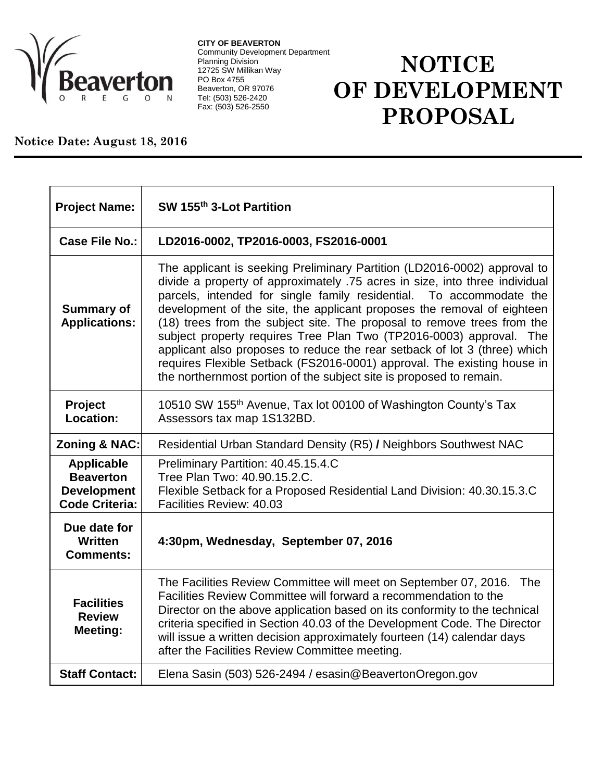

**CITY OF BEAVERTON** Community Development Department Planning Division 12725 SW Millikan Way PO Box 4755 Beaverton, OR 97076 Tel: (503) 526-2420 Fax: (503) 526-2550

## **NOTICE OF DEVELOPMENT PROPOSAL**

## **Notice Date: August 18, 2016**

| <b>Project Name:</b>                                                                 | SW 155th 3-Lot Partition                                                                                                                                                                                                                                                                                                                                                                                                                                                                                                                                                                                                                                                                      |
|--------------------------------------------------------------------------------------|-----------------------------------------------------------------------------------------------------------------------------------------------------------------------------------------------------------------------------------------------------------------------------------------------------------------------------------------------------------------------------------------------------------------------------------------------------------------------------------------------------------------------------------------------------------------------------------------------------------------------------------------------------------------------------------------------|
| Case File No.:                                                                       | LD2016-0002, TP2016-0003, FS2016-0001                                                                                                                                                                                                                                                                                                                                                                                                                                                                                                                                                                                                                                                         |
| <b>Summary of</b><br><b>Applications:</b>                                            | The applicant is seeking Preliminary Partition (LD2016-0002) approval to<br>divide a property of approximately .75 acres in size, into three individual<br>parcels, intended for single family residential.<br>To accommodate the<br>development of the site, the applicant proposes the removal of eighteen<br>(18) trees from the subject site. The proposal to remove trees from the<br>subject property requires Tree Plan Two (TP2016-0003) approval. The<br>applicant also proposes to reduce the rear setback of lot 3 (three) which<br>requires Flexible Setback (FS2016-0001) approval. The existing house in<br>the northernmost portion of the subject site is proposed to remain. |
| Project<br>Location:                                                                 | 10510 SW 155 <sup>th</sup> Avenue, Tax lot 00100 of Washington County's Tax<br>Assessors tax map 1S132BD.                                                                                                                                                                                                                                                                                                                                                                                                                                                                                                                                                                                     |
| <b>Zoning &amp; NAC:</b>                                                             | Residential Urban Standard Density (R5) / Neighbors Southwest NAC                                                                                                                                                                                                                                                                                                                                                                                                                                                                                                                                                                                                                             |
| <b>Applicable</b><br><b>Beaverton</b><br><b>Development</b><br><b>Code Criteria:</b> | Preliminary Partition: 40.45.15.4.C<br>Tree Plan Two: 40.90.15.2.C.<br>Flexible Setback for a Proposed Residential Land Division: 40.30.15.3.C<br>Facilities Review: 40.03                                                                                                                                                                                                                                                                                                                                                                                                                                                                                                                    |
| Due date for<br>Written<br><b>Comments:</b>                                          | 4:30pm, Wednesday, September 07, 2016                                                                                                                                                                                                                                                                                                                                                                                                                                                                                                                                                                                                                                                         |
| <b>Facilities</b><br><b>Review</b><br>Meeting:                                       | The Facilities Review Committee will meet on September 07, 2016.<br><b>The</b><br>Facilities Review Committee will forward a recommendation to the<br>Director on the above application based on its conformity to the technical<br>criteria specified in Section 40.03 of the Development Code. The Director<br>will issue a written decision approximately fourteen (14) calendar days<br>after the Facilities Review Committee meeting.                                                                                                                                                                                                                                                    |
| <b>Staff Contact:</b>                                                                | Elena Sasin (503) 526-2494 / esasin@BeavertonOregon.gov                                                                                                                                                                                                                                                                                                                                                                                                                                                                                                                                                                                                                                       |